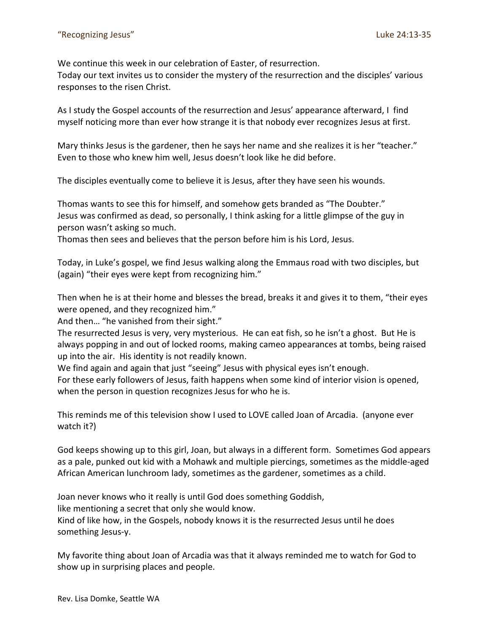We continue this week in our celebration of Easter, of resurrection. Today our text invites us to consider the mystery of the resurrection and the disciples' various responses to the risen Christ.

As I study the Gospel accounts of the resurrection and Jesus' appearance afterward, I find myself noticing more than ever how strange it is that nobody ever recognizes Jesus at first.

Mary thinks Jesus is the gardener, then he says her name and she realizes it is her "teacher." Even to those who knew him well, Jesus doesn't look like he did before.

The disciples eventually come to believe it is Jesus, after they have seen his wounds.

Thomas wants to see this for himself, and somehow gets branded as "The Doubter." Jesus was confirmed as dead, so personally, I think asking for a little glimpse of the guy in person wasn't asking so much.

Thomas then sees and believes that the person before him is his Lord, Jesus.

Today, in Luke's gospel, we find Jesus walking along the Emmaus road with two disciples, but (again) "their eyes were kept from recognizing him."

Then when he is at their home and blesses the bread, breaks it and gives it to them, "their eyes were opened, and they recognized him."

And then… "he vanished from their sight."

The resurrected Jesus is very, very mysterious. He can eat fish, so he isn't a ghost. But He is always popping in and out of locked rooms, making cameo appearances at tombs, being raised up into the air. His identity is not readily known.

We find again and again that just "seeing" Jesus with physical eyes isn't enough.

For these early followers of Jesus, faith happens when some kind of interior vision is opened, when the person in question recognizes Jesus for who he is.

This reminds me of this television show I used to LOVE called Joan of Arcadia. (anyone ever watch it?)

God keeps showing up to this girl, Joan, but always in a different form. Sometimes God appears as a pale, punked out kid with a Mohawk and multiple piercings, sometimes as the middle-aged African American lunchroom lady, sometimes as the gardener, sometimes as a child.

Joan never knows who it really is until God does something Goddish,

like mentioning a secret that only she would know.

Kind of like how, in the Gospels, nobody knows it is the resurrected Jesus until he does something Jesus-y.

My favorite thing about Joan of Arcadia was that it always reminded me to watch for God to show up in surprising places and people.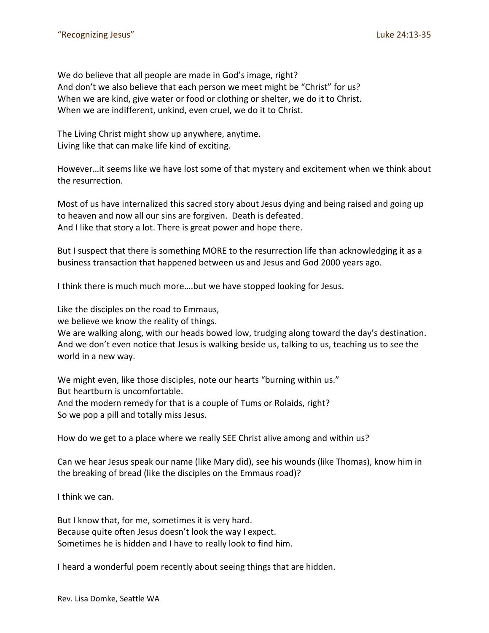We do believe that all people are made in God's image, right? And don't we also believe that each person we meet might be "Christ" for us? When we are kind, give water or food or clothing or shelter, we do it to Christ. When we are indifferent, unkind, even cruel, we do it to Christ.

The Living Christ might show up anywhere, anytime. Living like that can make life kind of exciting.

However…it seems like we have lost some of that mystery and excitement when we think about the resurrection.

Most of us have internalized this sacred story about Jesus dying and being raised and going up to heaven and now all our sins are forgiven. Death is defeated. And I like that story a lot. There is great power and hope there.

But I suspect that there is something MORE to the resurrection life than acknowledging it as a business transaction that happened between us and Jesus and God 2000 years ago.

I think there is much much more….but we have stopped looking for Jesus.

Like the disciples on the road to Emmaus,

we believe we know the reality of things.

We are walking along, with our heads bowed low, trudging along toward the day's destination. And we don't even notice that Jesus is walking beside us, talking to us, teaching us to see the world in a new way.

We might even, like those disciples, note our hearts "burning within us." But heartburn is uncomfortable. And the modern remedy for that is a couple of Tums or Rolaids, right? So we pop a pill and totally miss Jesus.

How do we get to a place where we really SEE Christ alive among and within us?

Can we hear Jesus speak our name (like Mary did), see his wounds (like Thomas), know him in the breaking of bread (like the disciples on the Emmaus road)?

I think we can.

But I know that, for me, sometimes it is very hard. Because quite often Jesus doesn't look the way I expect. Sometimes he is hidden and I have to really look to find him.

I heard a wonderful poem recently about seeing things that are hidden.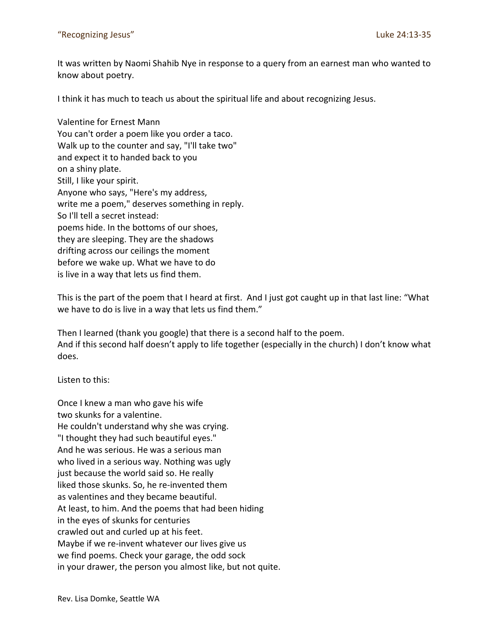It was written by Naomi Shahib Nye in response to a query from an earnest man who wanted to know about poetry.

I think it has much to teach us about the spiritual life and about recognizing Jesus.

Valentine for Ernest Mann You can't order a poem like you order a taco. Walk up to the counter and say, "I'll take two" and expect it to handed back to you on a shiny plate. Still, I like your spirit. Anyone who says, "Here's my address, write me a poem," deserves something in reply. So I'll tell a secret instead: poems hide. In the bottoms of our shoes, they are sleeping. They are the shadows drifting across our ceilings the moment before we wake up. What we have to do is live in a way that lets us find them.

This is the part of the poem that I heard at first. And I just got caught up in that last line: "What we have to do is live in a way that lets us find them."

Then I learned (thank you google) that there is a second half to the poem. And if this second half doesn't apply to life together (especially in the church) I don't know what does.

Listen to this:

Once I knew a man who gave his wife two skunks for a valentine. He couldn't understand why she was crying. "I thought they had such beautiful eyes." And he was serious. He was a serious man who lived in a serious way. Nothing was ugly just because the world said so. He really liked those skunks. So, he re-invented them as valentines and they became beautiful. At least, to him. And the poems that had been hiding in the eyes of skunks for centuries crawled out and curled up at his feet. Maybe if we re-invent whatever our lives give us we find poems. Check your garage, the odd sock in your drawer, the person you almost like, but not quite.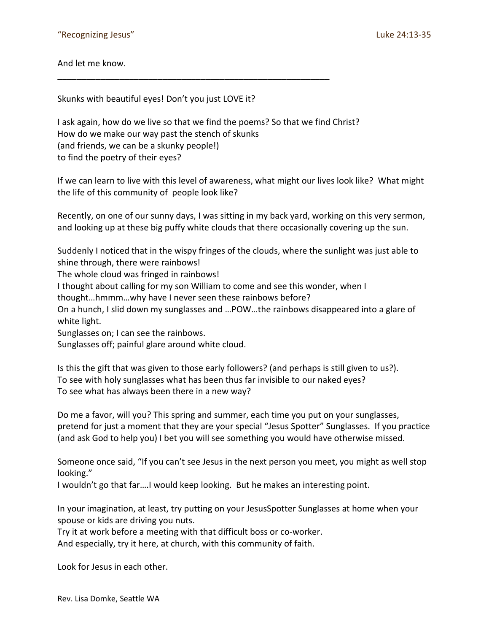## And let me know.

Skunks with beautiful eyes! Don't you just LOVE it?

I ask again, how do we live so that we find the poems? So that we find Christ? How do we make our way past the stench of skunks (and friends, we can be a skunky people!) to find the poetry of their eyes?

\_\_\_\_\_\_\_\_\_\_\_\_\_\_\_\_\_\_\_\_\_\_\_\_\_\_\_\_\_\_\_\_\_\_\_\_\_\_\_\_\_\_\_\_\_\_\_\_\_\_\_\_\_\_\_\_\_

If we can learn to live with this level of awareness, what might our lives look like? What might the life of this community of people look like?

Recently, on one of our sunny days, I was sitting in my back yard, working on this very sermon, and looking up at these big puffy white clouds that there occasionally covering up the sun.

Suddenly I noticed that in the wispy fringes of the clouds, where the sunlight was just able to shine through, there were rainbows!

The whole cloud was fringed in rainbows!

I thought about calling for my son William to come and see this wonder, when I

thought…hmmm…why have I never seen these rainbows before?

On a hunch, I slid down my sunglasses and …POW…the rainbows disappeared into a glare of white light.

Sunglasses on; I can see the rainbows.

Sunglasses off; painful glare around white cloud.

Is this the gift that was given to those early followers? (and perhaps is still given to us?). To see with holy sunglasses what has been thus far invisible to our naked eyes? To see what has always been there in a new way?

Do me a favor, will you? This spring and summer, each time you put on your sunglasses, pretend for just a moment that they are your special "Jesus Spotter" Sunglasses. If you practice (and ask God to help you) I bet you will see something you would have otherwise missed.

Someone once said, "If you can't see Jesus in the next person you meet, you might as well stop looking."

I wouldn't go that far….I would keep looking. But he makes an interesting point.

In your imagination, at least, try putting on your JesusSpotter Sunglasses at home when your spouse or kids are driving you nuts.

Try it at work before a meeting with that difficult boss or co-worker.

And especially, try it here, at church, with this community of faith.

Look for Jesus in each other.